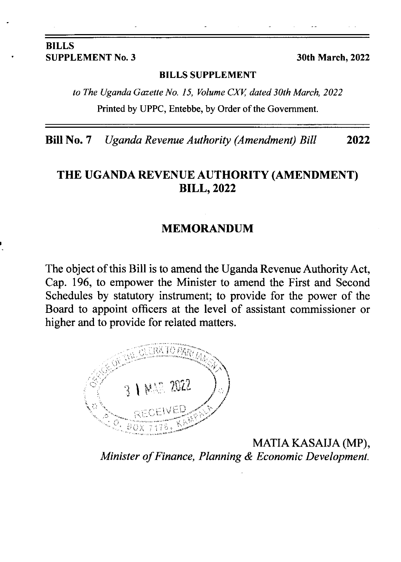#### BILLS SUPPLEMENT No. 3 30th March, 2022

#### BILLS SUPPLEMENT

to The Uganda Gazette No. 15, Volume CXV, dated 30th March, 2022 Printed by UPPC, Entebbe, by Order of the Govemment.

Bill No. 7 Uganda Revenue Authority (Amendment) Bill <sup>2022</sup>

### THE UGANDA REVENUE AUTHORITY (AMENDMENT) **BILL, 2022**

#### MEMORANDUM

The object of this Bill is to amend the Uganda Revenue Authority Act, Cap. 196, to empower the Minister to amend the First and Second Schedules by statutory instrument; to provide for the power of the Board to appoint officers at the level of assistant commissioner or higher and to provide for related matters.



MATIA KASAIJA (MP), Minister of Finance, Planning & Economic Development.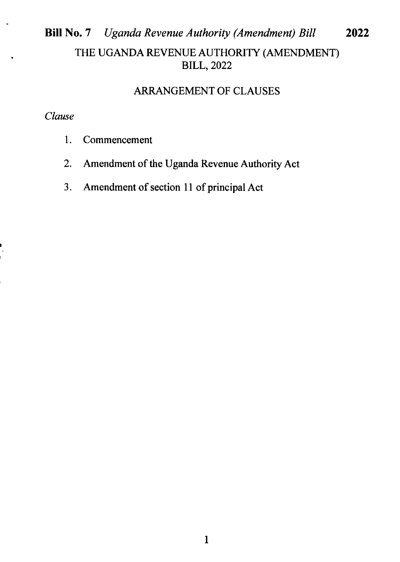# Bill No. 7 Uganda Revenue Authority (Amendment) Bill 2022 THE UGANDA REVENUE AUTHORITY (AMENDMENT) BILL,2022

## ARRANGEMENT OF CLAUSES

#### Clause

- l. Commencement
- 2. Amendment of the Uganda Revenue Authority Act
- 3. Amendment of section 11 of principal Act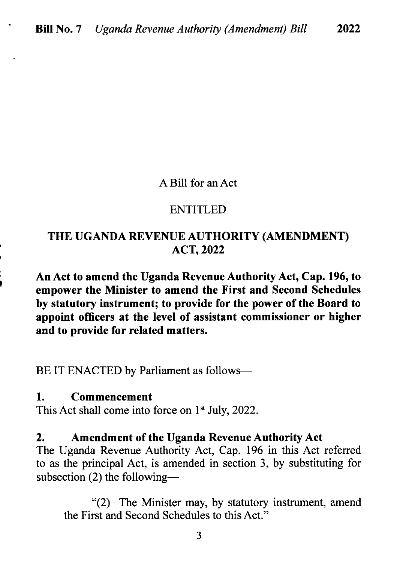#### A Bill for an Act

#### ENTITLED

### THE UGANDA REVENUE AUTHORITY (AMENDMENT) ACT,2022

An Act to amend the Uganda Revenue Authority Act, Cap. 196, to empower the Minister to amend the First and Second Schedules by statutory instrument; to provide for the power of the Board to appoint officers at the level of assistant commissioner or higher and to provide for related matters.

BE IT ENACTED by Parliament as follows-

### 1. Commencement

This Act shall come into force on  $1<sup>st</sup>$  July, 2022.

#### 2. Amendment of the Uganda Revenue Authority Act

The Uganda Revenue Authority Act, Cap. 196 in this Act referred to as the principal Act, is amended in section 3, by substituting for subsection  $(2)$  the following-

\*(2) The Minister may, by statutory instrument, amend the First and Second Schedules to this Act."